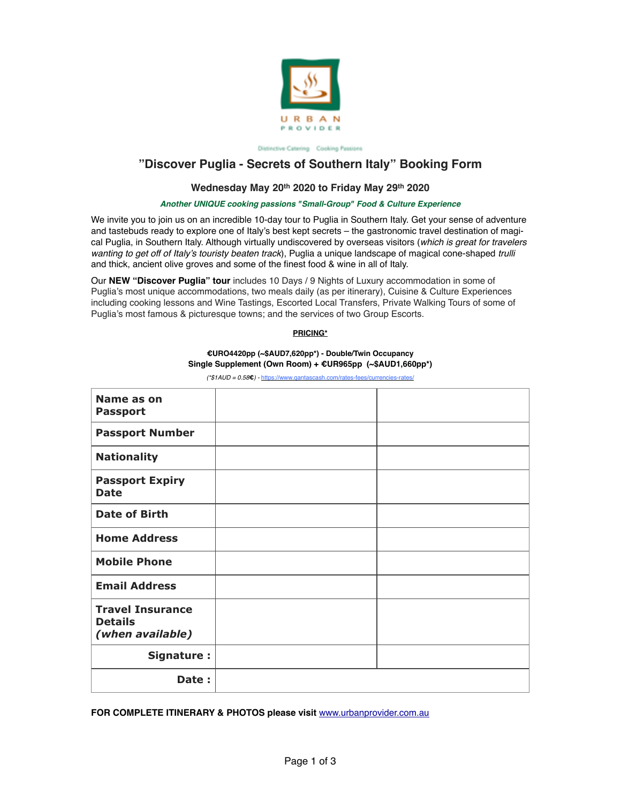

Distinctive Catering Cooking Passions

# **"Discover Puglia - Secrets of Southern Italy" Booking Form**

## Wednesday May 20<sup>th</sup> 2020 to Friday May 29<sup>th</sup> 2020

### *Another UNIQUE cooking passions "Small-Group" Food & Culture Experience*

We invite you to join us on an incredible 10-day tour to Puglia in Southern Italy. Get your sense of adventure and tastebuds ready to explore one of Italy's best kept secrets – the gastronomic travel destination of magical Puglia, in Southern Italy. Although virtually undiscovered by overseas visitors (*which is great for travelers wanting to get off of Italy's touristy beaten track*), Puglia a unique landscape of magical cone-shaped *trulli*  and thick, ancient olive groves and some of the finest food & wine in all of Italy.

Our **NEW "Discover Puglia" tour** includes 10 Days / 9 Nights of Luxury accommodation in some of Puglia's most unique accommodations, two meals daily (as per itinerary), Cuisine & Culture Experiences including cooking lessons and Wine Tastings, Escorted Local Transfers, Private Walking Tours of some of Puglia's most famous & picturesque towns; and the services of two Group Escorts.

### **PRICING\***

# **€URO4420pp (~\$AUD7,620pp\*) - Double/Twin Occupancy Single Supplement (Own Room) + €UR965pp (~\$AUD1,660pp\*)**

*(\*\$1AUD = 0.58***€***) -* <https://www.qantascash.com/rates-fees/currencies-rates/>

| Name as on<br><b>Passport</b>                                 |  |
|---------------------------------------------------------------|--|
| <b>Passport Number</b>                                        |  |
| <b>Nationality</b>                                            |  |
| <b>Passport Expiry</b><br><b>Date</b>                         |  |
| <b>Date of Birth</b>                                          |  |
| <b>Home Address</b>                                           |  |
| <b>Mobile Phone</b>                                           |  |
| <b>Email Address</b>                                          |  |
| <b>Travel Insurance</b><br><b>Details</b><br>(when available) |  |
| Signature:                                                    |  |
| Date:                                                         |  |

### **FOR COMPLETE ITINERARY & PHOTOS please visit** [www.urbanprovider.com.au](http://www.urbanprovider.com.au)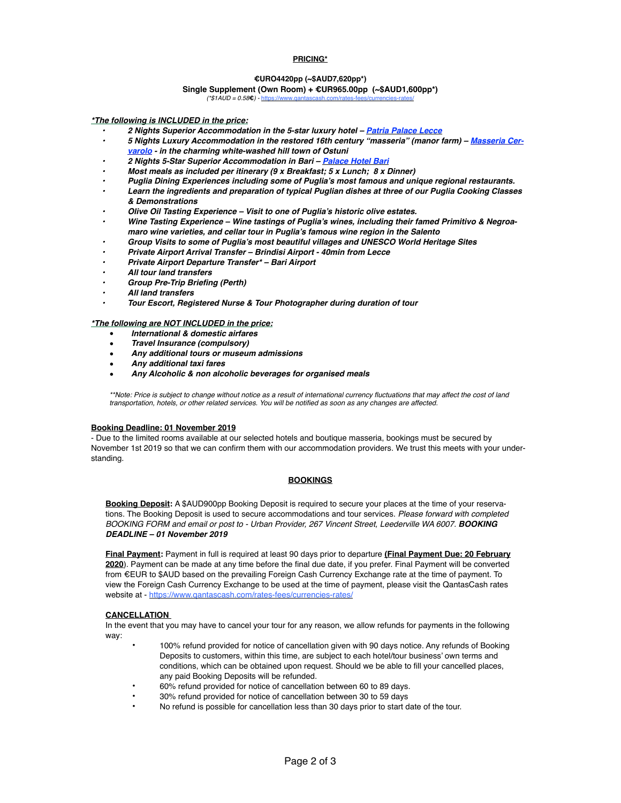### **PRICING\***

### **€URO4420pp (~\$AUD7,620pp\*)**

## **Single Supplement (Own Room) + €UR965.00pp (~\$AUD1,600pp\*)**

 $(*$1AUD = 0.58<sup>2</sup>$ .

*\*The following is INCLUDED in the price:*

- *2 Nights Superior Accommodation in the 5-star luxury hotel – [Patria Palace Lecce](https://patriapalace.com/en/)*
- *• [5 Nights Luxury Accommodation in the restored 16th century "masseria" \(manor farm\) Masseria Cer](http://www.masseriacervarolo.it/en/)varolo - in the charming white-washed hill town of Ostuni*
- *2 Nights 5-Star Superior Accommodation in Bari – [Palace Hotel Bari](https://www.palacehotelbari.com/en/)*
- *Most meals as included per itinerary (9 x Breakfast; 5 x Lunch; 8 x Dinner)*
- *Puglia Dining Experiences including some of Puglia's most famous and unique regional restaurants.*
- *Learn the ingredients and preparation of typical Puglian dishes at three of our Puglia Cooking Classes & Demonstrations*
- *Olive Oil Tasting Experience Visit to one of Puglia's historic olive estates.*
- *Wine Tasting Experience Wine tastings of Puglia's wines, including their famed Primitivo & Negroamaro wine varieties, and cellar tour in Puglia's famous wine region in the Salento*
- *Group Visits to some of Puglia's most beautiful villages and UNESCO World Heritage Sites*
- *Private Airport Arrival Transfer Brindisi Airport 40min from Lecce*
- *Private Airport Departure Transfer\* Bari Airport*
- *All tour land transfers*
- *Group Pre-Trip Briefing (Perth)*
- *All land transfers*
- *Tour Escort, Registered Nurse & Tour Photographer during duration of tour*

#### *\*The following are NOT INCLUDED in the price:*

- *International & domestic airfares*
- *Travel Insurance (compulsory)*
- *Any additional tours or museum admissions*
- *Any additional taxi fares*
- *Any Alcoholic & non alcoholic beverages for organised meals*

\*\*Note: Price is subject to change without notice as a result of international currency fluctuations that may affect the cost of land *transportation, hotels, or other related services. You will be notified as soon as any changes are affected.*

#### **Booking Deadline: 01 November 2019**

- Due to the limited rooms available at our selected hotels and boutique masseria, bookings must be secured by November 1st 2019 so that we can confirm them with our accommodation providers. We trust this meets with your understanding.

### **BOOKINGS**

**Booking Deposit:** A \$AUD900pp Booking Deposit is required to secure your places at the time of your reservations. The Booking Deposit is used to secure accommodations and tour services. *Please forward with completed*  BOOKING FORM and email or post to - Urban Provider, 267 Vincent Street, Leederville WA 6007. **BOOKING** *DEADLINE – 01 November 2019*

**Final Payment:** Payment in full is required at least 90 days prior to departure **(Final Payment Due: 20 February 2020**). Payment can be made at any time before the final due date, if you prefer. Final Payment will be converted from €EUR to \$AUD based on the prevailing Foreign Cash Currency Exchange rate at the time of payment. To view the Foreign Cash Currency Exchange to be used at the time of payment, please visit the QantasCash rates website at - https://www.gantascash.com/rates-fees/currencies-rates/

### **CANCELLATION**

In the event that you may have to cancel your tour for any reason, we allow refunds for payments in the following way:

- 100% refund provided for notice of cancellation given with 90 days notice. Any refunds of Booking Deposits to customers, within this time, are subject to each hotel/tour business' own terms and conditions, which can be obtained upon request. Should we be able to fill your cancelled places, any paid Booking Deposits will be refunded.
- 60% refund provided for notice of cancellation between 60 to 89 days.
- 30% refund provided for notice of cancellation between 30 to 59 days
- No refund is possible for cancellation less than 30 days prior to start date of the tour.